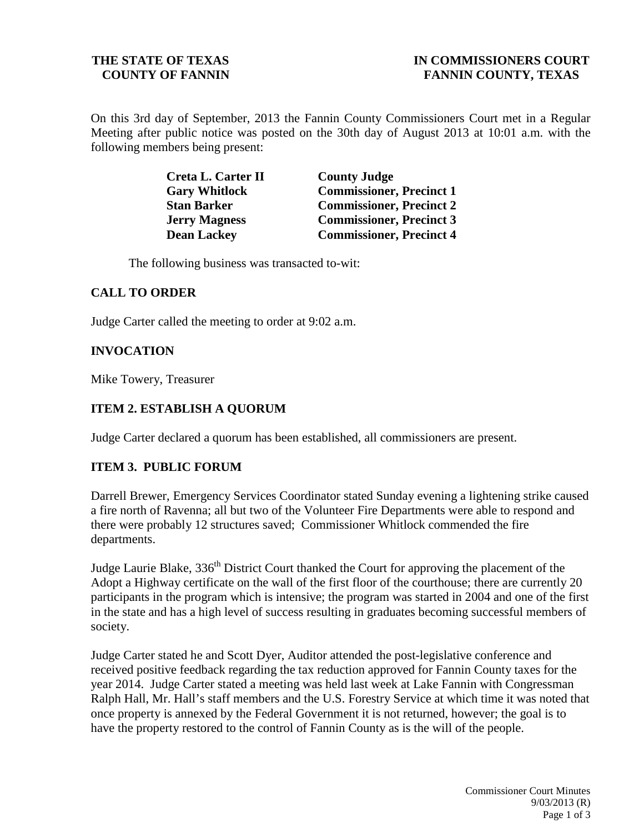On this 3rd day of September, 2013 the Fannin County Commissioners Court met in a Regular Meeting after public notice was posted on the 30th day of August 2013 at 10:01 a.m. with the following members being present:

| Creta L. Carter II   | <b>County Judge</b>             |
|----------------------|---------------------------------|
| <b>Gary Whitlock</b> | <b>Commissioner, Precinct 1</b> |
| <b>Stan Barker</b>   | <b>Commissioner, Precinct 2</b> |
| <b>Jerry Magness</b> | <b>Commissioner, Precinct 3</b> |
| <b>Dean Lackey</b>   | <b>Commissioner, Precinct 4</b> |

The following business was transacted to-wit:

## **CALL TO ORDER**

Judge Carter called the meeting to order at 9:02 a.m.

## **INVOCATION**

Mike Towery, Treasurer

#### **ITEM 2. ESTABLISH A QUORUM**

Judge Carter declared a quorum has been established, all commissioners are present.

#### **ITEM 3. PUBLIC FORUM**

Darrell Brewer, Emergency Services Coordinator stated Sunday evening a lightening strike caused a fire north of Ravenna; all but two of the Volunteer Fire Departments were able to respond and there were probably 12 structures saved; Commissioner Whitlock commended the fire departments.

Judge Laurie Blake, 336<sup>th</sup> District Court thanked the Court for approving the placement of the Adopt a Highway certificate on the wall of the first floor of the courthouse; there are currently 20 participants in the program which is intensive; the program was started in 2004 and one of the first in the state and has a high level of success resulting in graduates becoming successful members of society.

Judge Carter stated he and Scott Dyer, Auditor attended the post-legislative conference and received positive feedback regarding the tax reduction approved for Fannin County taxes for the year 2014. Judge Carter stated a meeting was held last week at Lake Fannin with Congressman Ralph Hall, Mr. Hall's staff members and the U.S. Forestry Service at which time it was noted that once property is annexed by the Federal Government it is not returned, however; the goal is to have the property restored to the control of Fannin County as is the will of the people.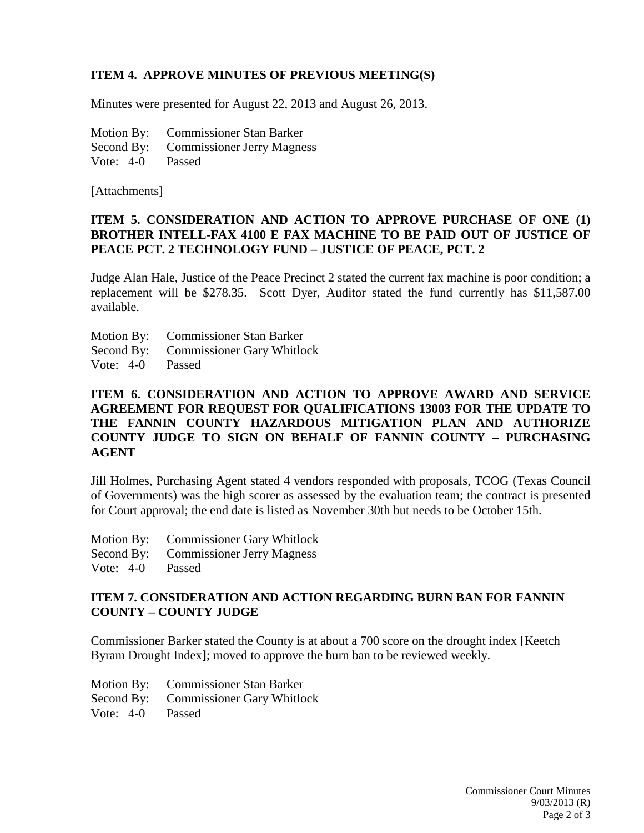# **ITEM 4. APPROVE MINUTES OF PREVIOUS MEETING(S)**

Minutes were presented for August 22, 2013 and August 26, 2013.

Motion By: Commissioner Stan Barker Second By: Commissioner Jerry Magness Vote: 4-0 Passed

[Attachments]

# **ITEM 5. CONSIDERATION AND ACTION TO APPROVE PURCHASE OF ONE (1) BROTHER INTELL-FAX 4100 E FAX MACHINE TO BE PAID OUT OF JUSTICE OF PEACE PCT. 2 TECHNOLOGY FUND – JUSTICE OF PEACE, PCT. 2**

Judge Alan Hale, Justice of the Peace Precinct 2 stated the current fax machine is poor condition; a replacement will be \$278.35. Scott Dyer, Auditor stated the fund currently has \$11,587.00 available.

- Motion By: Commissioner Stan Barker
- Second By: Commissioner Gary Whitlock
- Vote: 4-0 Passed

# **ITEM 6. CONSIDERATION AND ACTION TO APPROVE AWARD AND SERVICE AGREEMENT FOR REQUEST FOR QUALIFICATIONS 13003 FOR THE UPDATE TO THE FANNIN COUNTY HAZARDOUS MITIGATION PLAN AND AUTHORIZE COUNTY JUDGE TO SIGN ON BEHALF OF FANNIN COUNTY – PURCHASING AGENT**

Jill Holmes, Purchasing Agent stated 4 vendors responded with proposals, TCOG (Texas Council of Governments) was the high scorer as assessed by the evaluation team; the contract is presented for Court approval; the end date is listed as November 30th but needs to be October 15th.

- Motion By: Commissioner Gary Whitlock
- Second By: Commissioner Jerry Magness

Vote: 4-0 Passed

## **ITEM 7. CONSIDERATION AND ACTION REGARDING BURN BAN FOR FANNIN COUNTY – COUNTY JUDGE**

Commissioner Barker stated the County is at about a 700 score on the drought index [Keetch Byram Drought Index**]**; moved to approve the burn ban to be reviewed weekly.

|                  | Motion By: Commissioner Stan Barker   |
|------------------|---------------------------------------|
|                  | Second By: Commissioner Gary Whitlock |
| Vote: 4-0 Passed |                                       |